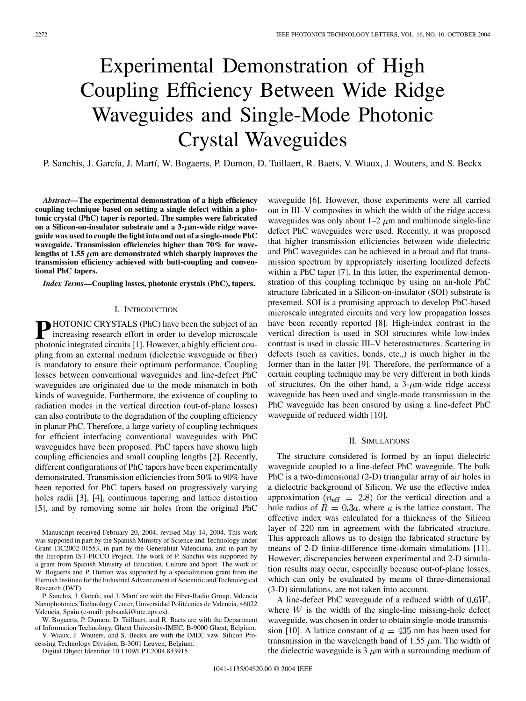# Experimental Demonstration of High Coupling Efficiency Between Wide Ridge Waveguides and Single-Mode Photonic Crystal Waveguides

P. Sanchis, J. García, J. Martí, W. Bogaerts, P. Dumon, D. Taillaert, R. Baets, V. Wiaux, J. Wouters, and S. Beckx

*Abstract—***The experimental demonstration of a high efficiency coupling technique based on setting a single defect within a photonic crystal (PhC) taper is reported. The samples were fabricated** on a Silicon-on-insulator substrate and a  $3-\mu$ m-wide ridge wave**guide was used to couple the light into and out of a single-mode PhC waveguide. Transmission efficiencies higher than 70% for wave**lengths at 1.55  $\mu$ m are demonstrated which sharply improves the **transmission efficiency achieved with butt-coupling and conventional PhC tapers.**

*Index Terms—***Coupling losses, photonic crystals (PhC), tapers.**

## I. INTRODUCTION

**P** HOTONIC CRYSTALS (PhC) have been the subject of an increasing research effort in order to develop microscale photonic integrated circuits [\[1](#page-2-0)]. However, a highly efficient coupling from an external medium (dielectric waveguide or fiber) is mandatory to ensure their optimum performance. Coupling losses between conventional waveguides and line-defect PhC waveguides are originated due to the mode mismatch in both kinds of waveguide. Furthermore, the existence of coupling to radiation modes in the vertical direction (out-of-plane losses) can also contribute to the degradation of the coupling efficiency in planar PhC. Therefore, a large variety of coupling techniques for efficient interfacing conventional waveguides with PhC waveguides have been proposed. PhC tapers have shown high coupling efficiencies and small coupling lengths [[2\]](#page-2-0). Recently, different configurations of PhC tapers have been experimentally demonstrated. Transmission efficiencies from 50% to 90% have been reported for PhC tapers based on progressively varying holes radii [[3\]](#page-2-0), [[4\]](#page-2-0), continuous tapering and lattice distortion [[5\]](#page-2-0), and by removing some air holes from the original PhC

Manuscript received February 20, 2004; revised May 14, 2004. This work was suppoted in part by the Spanish Ministry of Science and Technology under Grant TIC2002-01553, in part by the Generalitat Valenciana, and in part by the European IST-PICCO Project. The work of P. Sanchis was supported by a grant from Spanish Ministry of Education, Culture and Sport. The work of W. Bogaerts and P. Dumon was supported by a specialization grant from the Flemish Institute for the Industrial Advancement of Scientific and Technological Research (IWT).

P. Sanchis, J. García, and J. Martí are with the Fiber-Radio Group, Valencia Nanophotonics Technology Center, Universidad Politécnica de Valencia, 46022 Valencia, Spain (e-mail: pabsanki@ntc.upv.es).

W. Bogaerts, P. Dumon, D. Taillaert, and R. Baets are with the Department of Information Technology, Ghent University-IMEC, B-9000 Ghent, Belgium.

V. Wiaux, J. Wouters, and S. Beckx are with the IMEC vzw. Silicon Processing Technology Division, B-3001 Leuven, Belgium.

Digital Object Identifier 10.1109/LPT.2004.833915

waveguide [[6\]](#page-2-0). However, those experiments were all carried out in III–V composites in which the width of the ridge access waveguides was only about  $1-2 \mu m$  and multimode single-line defect PhC waveguides were used. Recently, it was proposed that higher transmission efficiencies between wide dielectric and PhC waveguides can be achieved in a broad and flat transmission spectrum by appropriately inserting localized defects within a PhC taper [\[7](#page-2-0)]. In this letter, the experimental demonstration of this coupling technique by using an air-hole PhC structure fabricated in a Silicon-on-insulator (SOI) substrate is presented. SOI is a promising approach to develop PhC-based microscale integrated circuits and very low propagation losses have been recently reported [\[8](#page-2-0)]. High-index contrast in the vertical direction is used in SOI structures while low-index contrast is used in classic III–V heterostructures. Scattering in defects (such as cavities, bends, etc.,) is much higher in the former than in the latter [\[9](#page-2-0)]. Therefore, the performance of a certain coupling technique may be very different in both kinds of structures. On the other hand, a  $3-\mu m$ -wide ridge access waveguide has been used and single-mode transmission in the PhC waveguide has been ensured by using a line-defect PhC waveguide of reduced width [\[10](#page-2-0)].

### II. SIMULATIONS

The structure considered is formed by an input dielectric waveguide coupled to a line-defect PhC waveguide. The bulk PhC is a two-dimensional (2-D) triangular array of air holes in a dielectric background of Silicon. We use the effective index approximation ( $n_{\text{eff}}$  = 2.8) for the vertical direction and a hole radius of  $R = 0.3a$ , where a is the lattice constant. The effective index was calculated for a thickness of the Silicon layer of 220 nm in agreement with the fabricated structure. This approach allows us to design the fabricated structure by means of 2-D finite-difference time-domain simulations [[11\]](#page-2-0). However, discrepancies between experimental and 2-D simulation results may occur, especially because out-of-plane losses, which can only be evaluated by means of three-dimensional (3-D) simulations, are not taken into account.

A line-defect PhC waveguide of a reduced width of  $0.6W$ , where  $W$  is the width of the single-line missing-hole defect waveguide, was chosen in order to obtain single-mode transmis-sion [\[10](#page-2-0)]. A lattice constant of  $a = 435$  nm has been used for transmission in the wavelength band of 1.55  $\mu$ m. The width of the dielectric waveguide is  $3 \mu m$  with a surrounding medium of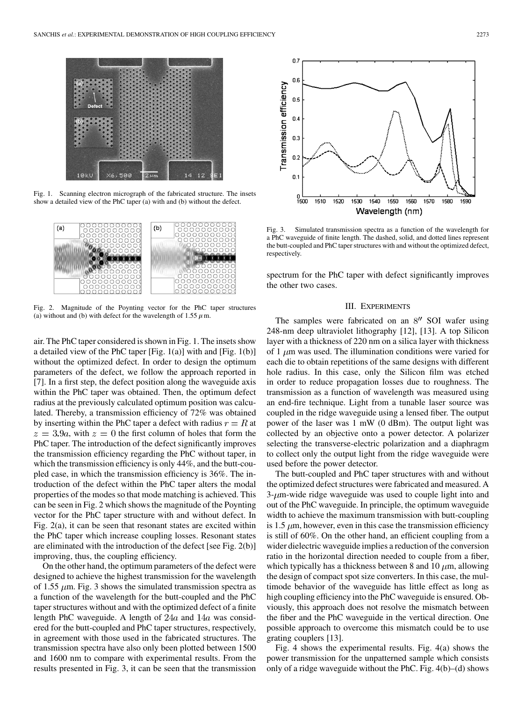

Fig. 1. Scanning electron micrograph of the fabricated structure. The insets show a detailed view of the PhC taper (a) with and (b) without the defect.



Fig. 2. Magnitude of the Poynting vector for the PhC taper structures (a) without and (b) with defect for the wavelength of 1.55  $\mu$ m.

air. The PhC taper considered is shown in Fig. 1. The insets show a detailed view of the PhC taper [Fig. 1(a)] with and [Fig. 1(b)] without the optimized defect. In order to design the optimum parameters of the defect, we follow the approach reported in [\[7](#page-2-0)]. In a first step, the defect position along the waveguide axis within the PhC taper was obtained. Then, the optimum defect radius at the previously calculated optimum position was calculated. Thereby, a transmission efficiency of 72% was obtained by inserting within the PhC taper a defect with radius  $r = R$  at  $z = 3.9a$ , with  $z = 0$  the first column of holes that form the PhC taper. The introduction of the defect significantly improves the transmission efficiency regarding the PhC without taper, in which the transmission efficiency is only 44%, and the butt-coupled case, in which the transmission efficiency is 36%. The introduction of the defect within the PhC taper alters the modal properties of the modes so that mode matching is achieved. This can be seen in Fig. 2 which shows the magnitude of the Poynting vector for the PhC taper structure with and without defect. In Fig. 2(a), it can be seen that resonant states are excited within the PhC taper which increase coupling losses. Resonant states are eliminated with the introduction of the defect [see Fig. 2(b)] improving, thus, the coupling efficiency.

On the other hand, the optimum parameters of the defect were designed to achieve the highest transmission for the wavelength of 1.55  $\mu$ m. Fig. 3 shows the simulated transmission spectra as a function of the wavelength for the butt-coupled and the PhC taper structures without and with the optimized defect of a finite length PhC waveguide. A length of  $24a$  and  $14a$  was considered for the butt-coupled and PhC taper structures, respectively, in agreement with those used in the fabricated structures. The transmission spectra have also only been plotted between 1500 and 1600 nm to compare with experimental results. From the results presented in Fig. 3, it can be seen that the transmission



Fig. 3. Simulated transmission spectra as a function of the wavelength for a PhC waveguide of finite length. The dashed, solid, and dotted lines represent the butt-coupled and PhC taper structures with and without the optimized defect, respectively.

spectrum for the PhC taper with defect significantly improves the other two cases.

# III. EXPERIMENTS

The samples were fabricated on an  $8''$  SOI wafer using 248-nm deep ultraviolet lithography [\[12](#page-2-0)], [[13\]](#page-2-0). A top Silicon layer with a thickness of 220 nm on a silica layer with thickness of 1  $\mu$ m was used. The illumination conditions were varied for each die to obtain repetitions of the same designs with different hole radius. In this case, only the Silicon film was etched in order to reduce propagation losses due to roughness. The transmission as a function of wavelength was measured using an end-fire technique. Light from a tunable laser source was coupled in the ridge waveguide using a lensed fiber. The output power of the laser was 1 mW (0 dBm). The output light was collected by an objective onto a power detector. A polarizer selecting the transverse-electric polarization and a diaphragm to collect only the output light from the ridge waveguide were used before the power detector.

The butt-coupled and PhC taper structures with and without the optimized defect structures were fabricated and measured. A  $3-\mu$ m-wide ridge waveguide was used to couple light into and out of the PhC waveguide. In principle, the optimum waveguide width to achieve the maximum transmission with butt-coupling is 1.5  $\mu$ m, however, even in this case the transmission efficiency is still of 60%. On the other hand, an efficient coupling from a wider dielectric waveguide implies a reduction of the conversion ratio in the horizontal direction needed to couple from a fiber, which typically has a thickness between 8 and 10  $\mu$ m, allowing the design of compact spot size converters. In this case, the multimode behavior of the waveguide has little effect as long as high coupling efficiency into the PhC waveguide is ensured. Obviously, this approach does not resolve the mismatch between the fiber and the PhC waveguide in the vertical direction. One possible approach to overcome this mismatch could be to use grating couplers [\[13](#page-2-0)].

Fig. 4 shows the experimental results. Fig. 4(a) shows the power transmission for the unpatterned sample which consists only of a ridge waveguide without the PhC. Fig. 4(b)–(d) shows